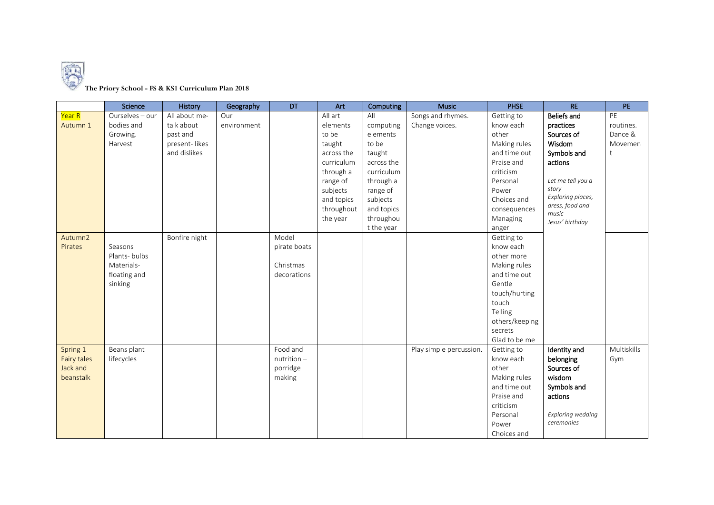

## **The Priory School - FS & KS1 Curriculum Plan 2018**

|             | Science         | History       | Geography   | DT            | Art        | Computing  | <b>Music</b>            | <b>PHSE</b>    | RE                       | PE          |
|-------------|-----------------|---------------|-------------|---------------|------------|------------|-------------------------|----------------|--------------------------|-------------|
| Year R      | Ourselves - our | All about me- | Our         |               | All art    | All        | Songs and rhymes.       | Getting to     | Beliefs and              | PE          |
| Autumn 1    | bodies and      | talk about    | environment |               | elements   | computing  | Change voices.          | know each      | practices                | routines.   |
|             | Growing.        | past and      |             |               | to be      | elements   |                         | other          | Sources of               | Dance &     |
|             | Harvest         | present-likes |             |               | taught     | to be      |                         | Making rules   | Wisdom                   | Movemen     |
|             |                 | and dislikes  |             |               | across the | taught     |                         | and time out   | Symbols and              | t           |
|             |                 |               |             |               | curriculum | across the |                         | Praise and     | actions                  |             |
|             |                 |               |             |               | through a  | curriculum |                         | criticism      |                          |             |
|             |                 |               |             |               | range of   | through a  |                         | Personal       | Let me tell you a        |             |
|             |                 |               |             |               | subjects   | range of   |                         | Power          | story                    |             |
|             |                 |               |             |               | and topics | subjects   |                         | Choices and    | Exploring places,        |             |
|             |                 |               |             |               | throughout | and topics |                         | consequences   | dress, food and<br>music |             |
|             |                 |               |             |               | the year   | throughou  |                         | Managing       | Jesus' birthday          |             |
|             |                 |               |             |               |            | t the year |                         | anger          |                          |             |
| Autumn2     |                 | Bonfire night |             | Model         |            |            |                         | Getting to     |                          |             |
| Pirates     | Seasons         |               |             | pirate boats  |            |            |                         | know each      |                          |             |
|             | Plants-bulbs    |               |             |               |            |            |                         | other more     |                          |             |
|             | Materials-      |               |             | Christmas     |            |            |                         | Making rules   |                          |             |
|             | floating and    |               |             | decorations   |            |            |                         | and time out   |                          |             |
|             | sinking         |               |             |               |            |            |                         | Gentle         |                          |             |
|             |                 |               |             |               |            |            |                         | touch/hurting  |                          |             |
|             |                 |               |             |               |            |            |                         | touch          |                          |             |
|             |                 |               |             |               |            |            |                         | Telling        |                          |             |
|             |                 |               |             |               |            |            |                         | others/keeping |                          |             |
|             |                 |               |             |               |            |            |                         | secrets        |                          |             |
|             |                 |               |             |               |            |            |                         | Glad to be me  |                          |             |
| Spring 1    | Beans plant     |               |             | Food and      |            |            | Play simple percussion. | Getting to     | Identity and             | Multiskills |
| Fairy tales | lifecycles      |               |             | $nutrition -$ |            |            |                         | know each      | belonging                | Gym         |
| Jack and    |                 |               |             | porridge      |            |            |                         | other          | Sources of               |             |
| beanstalk   |                 |               |             | making        |            |            |                         | Making rules   | wisdom                   |             |
|             |                 |               |             |               |            |            |                         | and time out   | Symbols and              |             |
|             |                 |               |             |               |            |            |                         | Praise and     | actions                  |             |
|             |                 |               |             |               |            |            |                         | criticism      |                          |             |
|             |                 |               |             |               |            |            |                         | Personal       | Exploring wedding        |             |
|             |                 |               |             |               |            |            |                         | Power          | ceremonies               |             |
|             |                 |               |             |               |            |            |                         | Choices and    |                          |             |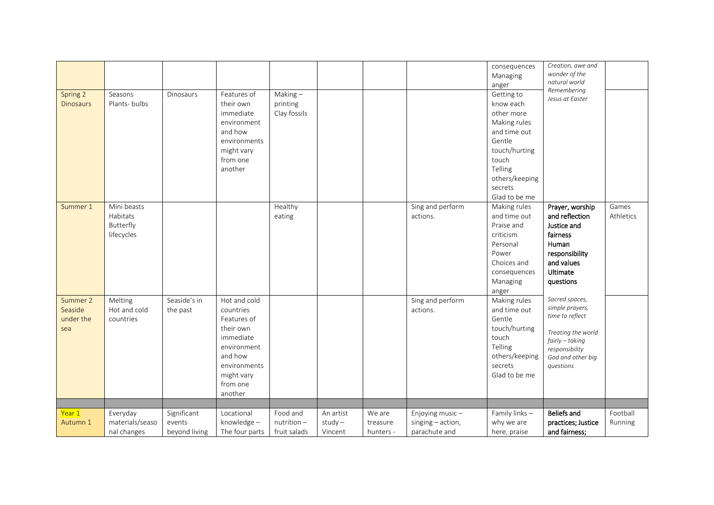| Spring 2<br><b>Dinosaurs</b>            | Seasons<br>Plants-bulbs                            | <b>Dinosaurs</b>                       | Features of<br>their own<br>immediate<br>environment<br>and how<br>environments<br>might vary<br>from one<br>another                              | Making $-$<br>printing<br>Clay fossils |                                   |                                 |                                                       | consequences<br>Managing<br>anger<br>Getting to<br>know each<br>other more<br>Making rules<br>and time out<br>Gentle<br>touch/hurting<br>touch<br>Telling<br>others/keeping<br>secrets<br>Glad to be me | Creation, awe and<br>wonder of the<br>natural world<br>Remembering<br>Jesus at Easter                                                             |                     |
|-----------------------------------------|----------------------------------------------------|----------------------------------------|---------------------------------------------------------------------------------------------------------------------------------------------------|----------------------------------------|-----------------------------------|---------------------------------|-------------------------------------------------------|---------------------------------------------------------------------------------------------------------------------------------------------------------------------------------------------------------|---------------------------------------------------------------------------------------------------------------------------------------------------|---------------------|
| Summer 1                                | Mini beasts<br>Habitats<br>Butterfly<br>lifecycles |                                        |                                                                                                                                                   | Healthy<br>eating                      |                                   |                                 | Sing and perform<br>actions.                          | Making rules<br>and time out<br>Praise and<br>criticism<br>Personal<br>Power<br>Choices and<br>consequences<br>Managing<br>anger                                                                        | Prayer, worship<br>and reflection<br>Justice and<br>fairness<br>Human<br>responsibility<br>and values<br>Ultimate<br>questions                    | Games<br>Athletics  |
| Summer 2<br>Seaside<br>under the<br>sea | Melting<br>Hot and cold<br>countries               | Seaside's in<br>the past               | Hot and cold<br>countries<br>Features of<br>their own<br>immediate<br>environment<br>and how<br>environments<br>might vary<br>from one<br>another |                                        |                                   |                                 | Sing and perform<br>actions.                          | Making rules<br>and time out<br>Gentle<br>touch/hurting<br>touch<br>Telling<br>others/keeping<br>secrets<br>Glad to be me                                                                               | Sacred spaces,<br>simple prayers,<br>time to reflect<br>Treating the world<br>fairly - taking<br>responsibility<br>God and other big<br>questions |                     |
| Year 1<br>Autumn 1                      | Everyday<br>materials/seaso<br>nal changes         | Significant<br>events<br>beyond living | Locational<br>knowledge-<br>The four parts                                                                                                        | Food and<br>nutrition-<br>fruit salads | An artist<br>$study -$<br>Vincent | We are<br>treasure<br>hunters - | Enjoying music-<br>singing - action,<br>parachute and | Family links-<br>why we are<br>here, praise                                                                                                                                                             | <b>Beliefs and</b><br>practices; Justice<br>and fairness;                                                                                         | Football<br>Running |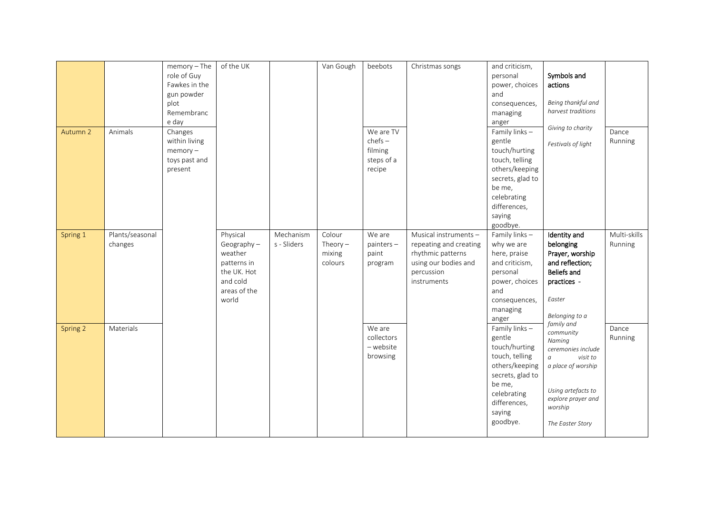|          |                            | $memory - The$<br>role of Guy<br>Fawkes in the<br>gun powder<br>plot<br>Remembranc<br>e day | of the UK                                                                                            |                          | Van Gough                                 | beebots                                                   | Christmas songs                                                                                                           | and criticism,<br>personal<br>power, choices<br>and<br>consequences,<br>managing<br>anger                                                                        | Symbols and<br>actions<br>Being thankful and<br>harvest traditions<br>Giving to charity                                                                                         |                         |
|----------|----------------------------|---------------------------------------------------------------------------------------------|------------------------------------------------------------------------------------------------------|--------------------------|-------------------------------------------|-----------------------------------------------------------|---------------------------------------------------------------------------------------------------------------------------|------------------------------------------------------------------------------------------------------------------------------------------------------------------|---------------------------------------------------------------------------------------------------------------------------------------------------------------------------------|-------------------------|
| Autumn 2 | Animals                    | Changes<br>within living<br>$memory -$<br>toys past and<br>present                          |                                                                                                      |                          |                                           | We are TV<br>$chefs -$<br>filming<br>steps of a<br>recipe |                                                                                                                           | Family links -<br>gentle<br>touch/hurting<br>touch, telling<br>others/keeping<br>secrets, glad to<br>be me,<br>celebrating<br>differences,<br>saying<br>goodbye. | Festivals of light                                                                                                                                                              | Dance<br>Running        |
| Spring 1 | Plants/seasonal<br>changes |                                                                                             | Physical<br>Geography-<br>weather<br>patterns in<br>the UK. Hot<br>and cold<br>areas of the<br>world | Mechanism<br>s - Sliders | Colour<br>Theory $-$<br>mixing<br>colours | We are<br>$painters -$<br>paint<br>program                | Musical instruments -<br>repeating and creating<br>rhythmic patterns<br>using our bodies and<br>percussion<br>instruments | Family links-<br>why we are<br>here, praise<br>and criticism,<br>personal<br>power, choices<br>and<br>consequences,<br>managing<br>anger                         | Identity and<br>belonging<br>Prayer, worship<br>and reflection;<br>Beliefs and<br>practices -<br>Easter<br>Belonging to a                                                       | Multi-skills<br>Running |
| Spring 2 | Materials                  |                                                                                             |                                                                                                      |                          |                                           | We are<br>collectors<br>- website<br>browsing             |                                                                                                                           | Family links -<br>gentle<br>touch/hurting<br>touch, telling<br>others/keeping<br>secrets, glad to<br>be me,<br>celebrating<br>differences,<br>saying<br>goodbye. | family and<br>community<br>Naming<br>ceremonies include<br>visit to<br>$\it a$<br>a place of worship<br>Using artefacts to<br>explore prayer and<br>worship<br>The Easter Story | Dance<br>Running        |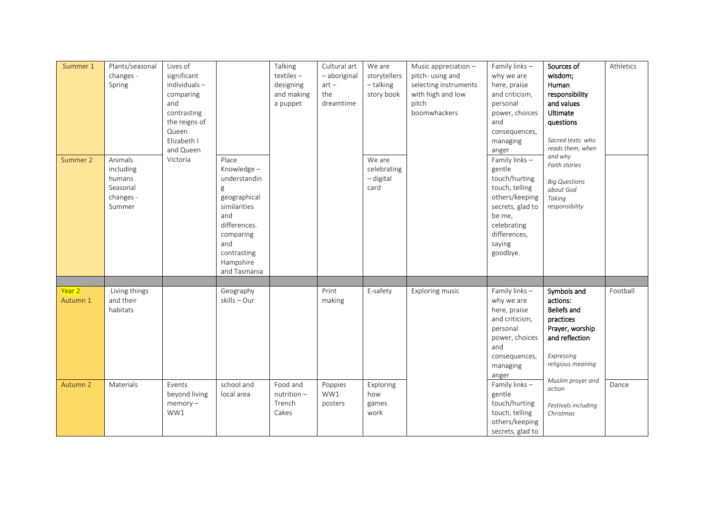| Summer 1<br>Summer 2 | Plants/seasonal<br>changes -<br>Spring<br>Animals      | Lives of<br>significant<br>individuals-<br>comparing<br>and<br>contrasting<br>the reigns of<br>Queen<br>Elizabeth I<br>and Queen<br>Victoria | Place                                                                                                                                                  | Talking<br>textiles-<br>designing<br>and making<br>a puppet | Cultural art<br>- aboriginal<br>$art -$<br>the<br>dreamtime | We are<br>storytellers<br>- talking<br>story book<br>We are | Music appreciation -<br>pitch-using and<br>selecting instruments<br>with high and low<br>pitch<br>boomwhackers | Family links-<br>why we are<br>here, praise<br>and criticism,<br>personal<br>power, choices<br>and<br>consequences,<br>managing<br>anger<br>Family links- | Sources of<br>wisdom;<br>Human<br>responsibility<br>and values<br>Ultimate<br>questions<br>Sacred texts: who<br>reads them, when<br>and why | Athletics |
|----------------------|--------------------------------------------------------|----------------------------------------------------------------------------------------------------------------------------------------------|--------------------------------------------------------------------------------------------------------------------------------------------------------|-------------------------------------------------------------|-------------------------------------------------------------|-------------------------------------------------------------|----------------------------------------------------------------------------------------------------------------|-----------------------------------------------------------------------------------------------------------------------------------------------------------|---------------------------------------------------------------------------------------------------------------------------------------------|-----------|
|                      | including<br>humans<br>Seasonal<br>changes -<br>Summer |                                                                                                                                              | Knowledge-<br>understandin<br>g<br>geographical<br>similarities<br>and<br>differences.<br>comparing<br>and<br>contrasting<br>Hampshire<br>and Tasmania |                                                             |                                                             | celebrating<br>- digital<br>card                            |                                                                                                                | gentle<br>touch/hurting<br>touch, telling<br>others/keeping<br>secrets, glad to<br>be me,<br>celebrating<br>differences,<br>saying<br>goodbye.            | Faith stories<br><b>Big Questions</b><br>about God<br>Taking<br>responsibility                                                              |           |
| Year 2               | Living things                                          |                                                                                                                                              | Geography                                                                                                                                              |                                                             | Print                                                       | E-safety                                                    | Exploring music                                                                                                | Family links-                                                                                                                                             | Symbols and                                                                                                                                 | Football  |
| Autumn 1             | and their<br>habitats                                  |                                                                                                                                              | skills - Our                                                                                                                                           |                                                             | making                                                      |                                                             |                                                                                                                | why we are<br>here, praise<br>and criticism,<br>personal<br>power, choices<br>and<br>consequences,<br>managing<br>anger                                   | actions:<br><b>Beliefs and</b><br>practices<br>Prayer, worship<br>and reflection<br>Expressing<br>religious meaning<br>Muslim prayer and    |           |
| Autumn 2             | Materials                                              | Events<br>beyond living                                                                                                                      | school and<br>local area                                                                                                                               | Food and<br>$nutrition -$                                   | Poppies<br>WW1                                              | Exploring<br>how                                            |                                                                                                                | Family links -<br>gentle                                                                                                                                  | action                                                                                                                                      | Dance     |
|                      |                                                        | $memory -$<br>WW1                                                                                                                            |                                                                                                                                                        | Trench<br>Cakes                                             | posters                                                     | games<br>work                                               |                                                                                                                | touch/hurting<br>touch, telling<br>others/keeping<br>secrets, glad to                                                                                     | Festivals including<br>Christmas                                                                                                            |           |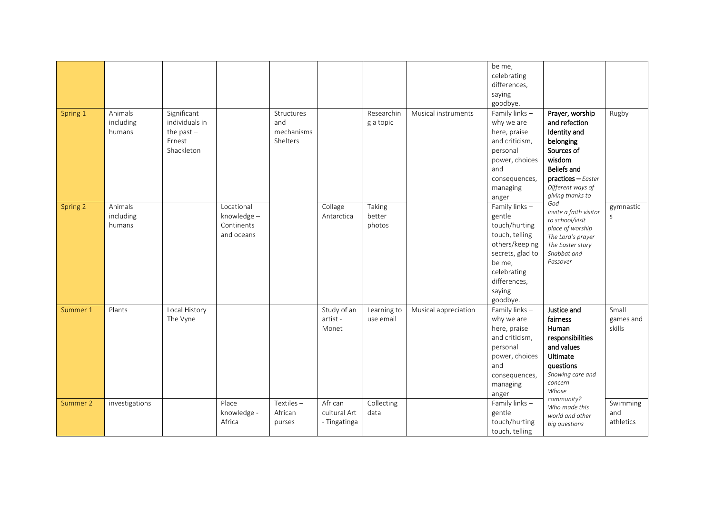| Spring 1 | Animals<br>including<br>humans | Significant<br>individuals in<br>the past $-$<br>Ernest<br>Shackleton |                                                      | Structures<br>and<br>mechanisms<br>Shelters |                                         | Researchin<br>g a topic    | Musical instruments  | be me,<br>celebrating<br>differences,<br>saying<br>goodbye.<br>Family links-<br>why we are<br>here, praise<br>and criticism,<br>personal<br>power, choices<br>and                                     | Prayer, worship<br>and refection<br>Identity and<br>belonging<br>Sources of<br>wisdom<br><b>Beliefs and</b>                                                                                               | Rugby                        |
|----------|--------------------------------|-----------------------------------------------------------------------|------------------------------------------------------|---------------------------------------------|-----------------------------------------|----------------------------|----------------------|-------------------------------------------------------------------------------------------------------------------------------------------------------------------------------------------------------|-----------------------------------------------------------------------------------------------------------------------------------------------------------------------------------------------------------|------------------------------|
| Spring 2 | Animals<br>including<br>humans |                                                                       | Locational<br>knowledge-<br>Continents<br>and oceans |                                             | Collage<br>Antarctica                   | Taking<br>better<br>photos |                      | consequences,<br>managing<br>anger<br>Family links-<br>gentle<br>touch/hurting<br>touch, telling<br>others/keeping<br>secrets, glad to<br>be me,<br>celebrating<br>differences,<br>saying<br>goodbye. | $practices - Easter$<br>Different ways of<br>giving thanks to<br>God<br>Invite a faith visitor<br>to school/visit<br>place of worship<br>The Lord's prayer<br>The Easter story<br>Shabbat and<br>Passover | gymnastic<br>S               |
| Summer 1 | Plants                         | Local History<br>The Vyne                                             |                                                      |                                             | Study of an<br>artist -<br>Monet        | Learning to<br>use email   | Musical appreciation | Family links-<br>why we are<br>here, praise<br>and criticism,<br>personal<br>power, choices<br>and<br>consequences,<br>managing<br>anger                                                              | Justice and<br>fairness<br>Human<br>responsibilities<br>and values<br>Ultimate<br>questions<br>Showing care and<br>concern<br>Whose                                                                       | Small<br>games and<br>skills |
| Summer 2 | investigations                 |                                                                       | Place<br>knowledge -<br>Africa                       | Textiles-<br>African<br>purses              | African<br>cultural Art<br>- Tingatinga | Collecting<br>data         |                      | Family links-<br>gentle<br>touch/hurting<br>touch, telling                                                                                                                                            | community?<br>Who made this<br>world and other<br>big questions                                                                                                                                           | Swimming<br>and<br>athletics |